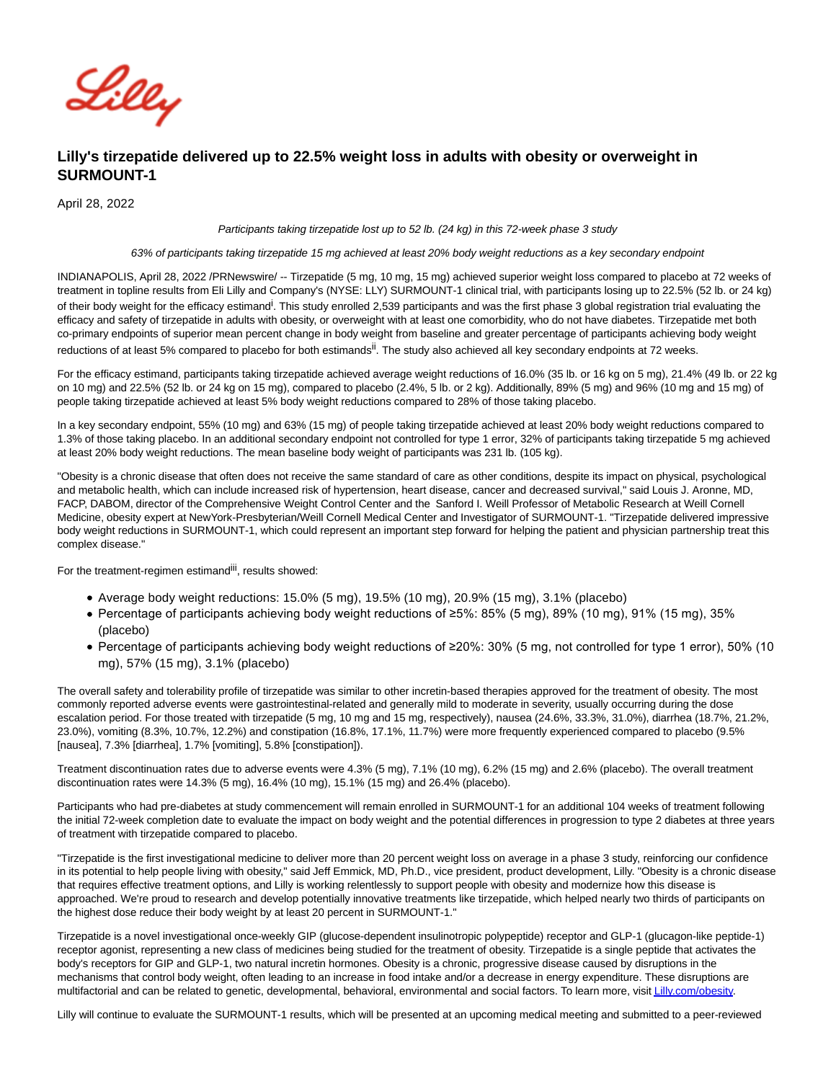

# **Lilly's tirzepatide delivered up to 22.5% weight loss in adults with obesity or overweight in SURMOUNT-1**

April 28, 2022

Participants taking tirzepatide lost up to 52 lb. (24 kg) in this 72-week phase 3 study

#### 63% of participants taking tirzepatide 15 mg achieved at least 20% body weight reductions as a key secondary endpoint

INDIANAPOLIS, April 28, 2022 /PRNewswire/ -- Tirzepatide (5 mg, 10 mg, 15 mg) achieved superior weight loss compared to placebo at 72 weeks of treatment in topline results from Eli Lilly and Company's (NYSE: LLY) SURMOUNT-1 clinical trial, with participants losing up to 22.5% (52 lb. or 24 kg) of their body weight for the efficacy estimand<sup>i</sup>. This study enrolled 2,539 participants and was the first phase 3 global registration trial evaluating the efficacy and safety of tirzepatide in adults with obesity, or overweight with at least one comorbidity, who do not have diabetes. Tirzepatide met both co-primary endpoints of superior mean percent change in body weight from baseline and greater percentage of participants achieving body weight reductions of at least 5% compared to placebo for both estimands<sup>ii</sup>. The study also achieved all key secondary endpoints at 72 weeks.

For the efficacy estimand, participants taking tirzepatide achieved average weight reductions of 16.0% (35 lb. or 16 kg on 5 mg), 21.4% (49 lb. or 22 kg on 10 mg) and 22.5% (52 lb. or 24 kg on 15 mg), compared to placebo (2.4%, 5 lb. or 2 kg). Additionally, 89% (5 mg) and 96% (10 mg and 15 mg) of people taking tirzepatide achieved at least 5% body weight reductions compared to 28% of those taking placebo.

In a key secondary endpoint, 55% (10 mg) and 63% (15 mg) of people taking tirzepatide achieved at least 20% body weight reductions compared to 1.3% of those taking placebo. In an additional secondary endpoint not controlled for type 1 error, 32% of participants taking tirzepatide 5 mg achieved at least 20% body weight reductions. The mean baseline body weight of participants was 231 lb. (105 kg).

"Obesity is a chronic disease that often does not receive the same standard of care as other conditions, despite its impact on physical, psychological and metabolic health, which can include increased risk of hypertension, heart disease, cancer and decreased survival," said Louis J. Aronne, MD, FACP, DABOM, director of the Comprehensive Weight Control Center and the Sanford I. Weill Professor of Metabolic Research at Weill Cornell Medicine, obesity expert at NewYork-Presbyterian/Weill Cornell Medical Center and Investigator of SURMOUNT-1. "Tirzepatide delivered impressive body weight reductions in SURMOUNT-1, which could represent an important step forward for helping the patient and physician partnership treat this complex disease."

For the treatment-regimen estimand<sup>iii</sup>, results showed:

- Average body weight reductions:  $15.0\%$  (5 mg),  $19.5\%$  (10 mg),  $20.9\%$  (15 mg),  $3.1\%$  (placebo)
- Percentage of participants achieving body weight reductions of ≥5%: 85% (5 mg), 89% (10 mg), 91% (15 mg), 35% (placebo)
- Percentage of participants achieving body weight reductions of ≥20%: 30% (5 mg, not controlled for type 1 error), 50% (10 mg), 57% (15 mg), 3.1% (placebo)

The overall safety and tolerability profile of tirzepatide was similar to other incretin-based therapies approved for the treatment of obesity. The most commonly reported adverse events were gastrointestinal-related and generally mild to moderate in severity, usually occurring during the dose escalation period. For those treated with tirzepatide (5 mg, 10 mg and 15 mg, respectively), nausea (24.6%, 33.3%, 31.0%), diarrhea (18.7%, 21.2%, 23.0%), vomiting (8.3%, 10.7%, 12.2%) and constipation (16.8%, 17.1%, 11.7%) were more frequently experienced compared to placebo (9.5% [nausea], 7.3% [diarrhea], 1.7% [vomiting], 5.8% [constipation]).

Treatment discontinuation rates due to adverse events were 4.3% (5 mg), 7.1% (10 mg), 6.2% (15 mg) and 2.6% (placebo). The overall treatment discontinuation rates were 14.3% (5 mg), 16.4% (10 mg), 15.1% (15 mg) and 26.4% (placebo).

Participants who had pre-diabetes at study commencement will remain enrolled in SURMOUNT-1 for an additional 104 weeks of treatment following the initial 72-week completion date to evaluate the impact on body weight and the potential differences in progression to type 2 diabetes at three years of treatment with tirzepatide compared to placebo.

"Tirzepatide is the first investigational medicine to deliver more than 20 percent weight loss on average in a phase 3 study, reinforcing our confidence in its potential to help people living with obesity," said Jeff Emmick, MD, Ph.D., vice president, product development, Lilly. "Obesity is a chronic disease that requires effective treatment options, and Lilly is working relentlessly to support people with obesity and modernize how this disease is approached. We're proud to research and develop potentially innovative treatments like tirzepatide, which helped nearly two thirds of participants on the highest dose reduce their body weight by at least 20 percent in SURMOUNT-1."

Tirzepatide is a novel investigational once-weekly GIP (glucose-dependent insulinotropic polypeptide) receptor and GLP-1 (glucagon-like peptide-1) receptor agonist, representing a new class of medicines being studied for the treatment of obesity. Tirzepatide is a single peptide that activates the body's receptors for GIP and GLP-1, two natural incretin hormones. Obesity is a chronic, progressive disease caused by disruptions in the mechanisms that control body weight, often leading to an increase in food intake and/or a decrease in energy expenditure. These disruptions are multifactorial and can be related to genetic, developmental, behavioral, environmental and social factors. To learn more, visi[t Lilly.com/obesity.](https://c212.net/c/link/?t=0&l=en&o=3518723-1&h=3909724595&u=https%3A%2F%2Fwww.lilly.com%2Fdisease-areas%2Fobesity&a=Lilly.com%2Fobesity)

Lilly will continue to evaluate the SURMOUNT-1 results, which will be presented at an upcoming medical meeting and submitted to a peer-reviewed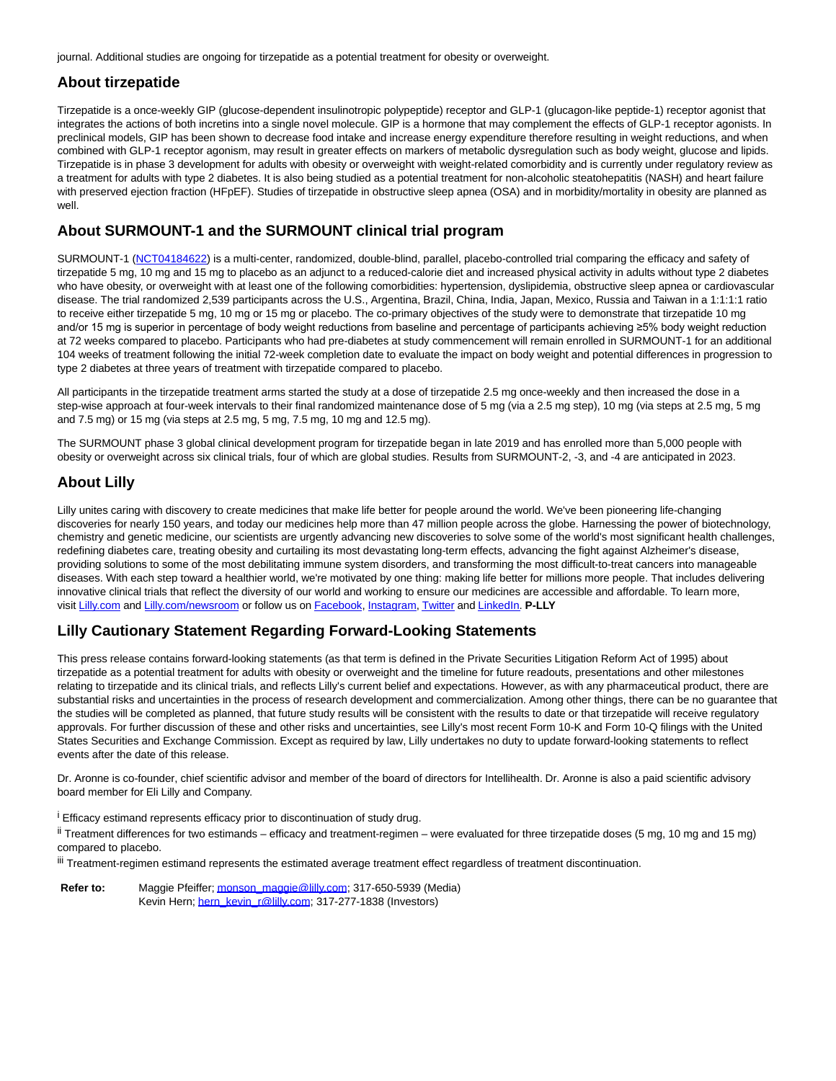journal. Additional studies are ongoing for tirzepatide as a potential treatment for obesity or overweight.

## **About tirzepatide**

Tirzepatide is a once-weekly GIP (glucose-dependent insulinotropic polypeptide) receptor and GLP-1 (glucagon-like peptide-1) receptor agonist that integrates the actions of both incretins into a single novel molecule. GIP is a hormone that may complement the effects of GLP-1 receptor agonists. In preclinical models, GIP has been shown to decrease food intake and increase energy expenditure therefore resulting in weight reductions, and when combined with GLP-1 receptor agonism, may result in greater effects on markers of metabolic dysregulation such as body weight, glucose and lipids. Tirzepatide is in phase 3 development for adults with obesity or overweight with weight-related comorbidity and is currently under regulatory review as a treatment for adults with type 2 diabetes. It is also being studied as a potential treatment for non-alcoholic steatohepatitis (NASH) and heart failure with preserved ejection fraction (HFpEF). Studies of tirzepatide in obstructive sleep apnea (OSA) and in morbidity/mortality in obesity are planned as well.

# **About SURMOUNT-1 and the SURMOUNT clinical trial program**

SURMOUNT-1 [\(NCT04184622\)](https://c212.net/c/link/?t=0&l=en&o=3518723-1&h=3170402521&u=https%3A%2F%2Fclinicaltrials.gov%2Fct2%2Fshow%2FNCT04184622%3Fterm%3Dsurmount-1%26draw%3D2%26rank%3D1&a=NCT04184622) is a multi-center, randomized, double-blind, parallel, placebo-controlled trial comparing the efficacy and safety of tirzepatide 5 mg, 10 mg and 15 mg to placebo as an adjunct to a reduced-calorie diet and increased physical activity in adults without type 2 diabetes who have obesity, or overweight with at least one of the following comorbidities: hypertension, dyslipidemia, obstructive sleep apnea or cardiovascular disease. The trial randomized 2,539 participants across the U.S., Argentina, Brazil, China, India, Japan, Mexico, Russia and Taiwan in a 1:1:1:1 ratio to receive either tirzepatide 5 mg, 10 mg or 15 mg or placebo. The co-primary objectives of the study were to demonstrate that tirzepatide 10 mg and/or 15 mg is superior in percentage of body weight reductions from baseline and percentage of participants achieving ≥5% body weight reduction at 72 weeks compared to placebo. Participants who had pre-diabetes at study commencement will remain enrolled in SURMOUNT-1 for an additional 104 weeks of treatment following the initial 72-week completion date to evaluate the impact on body weight and potential differences in progression to type 2 diabetes at three years of treatment with tirzepatide compared to placebo.

All participants in the tirzepatide treatment arms started the study at a dose of tirzepatide 2.5 mg once-weekly and then increased the dose in a step-wise approach at four-week intervals to their final randomized maintenance dose of 5 mg (via a 2.5 mg step), 10 mg (via steps at 2.5 mg, 5 mg and 7.5 mg) or 15 mg (via steps at 2.5 mg, 5 mg, 7.5 mg, 10 mg and 12.5 mg).

The SURMOUNT phase 3 global clinical development program for tirzepatide began in late 2019 and has enrolled more than 5,000 people with obesity or overweight across six clinical trials, four of which are global studies. Results from SURMOUNT-2, -3, and -4 are anticipated in 2023.

## **About Lilly**

Lilly unites caring with discovery to create medicines that make life better for people around the world. We've been pioneering life-changing discoveries for nearly 150 years, and today our medicines help more than 47 million people across the globe. Harnessing the power of biotechnology, chemistry and genetic medicine, our scientists are urgently advancing new discoveries to solve some of the world's most significant health challenges, redefining diabetes care, treating obesity and curtailing its most devastating long-term effects, advancing the fight against Alzheimer's disease, providing solutions to some of the most debilitating immune system disorders, and transforming the most difficult-to-treat cancers into manageable diseases. With each step toward a healthier world, we're motivated by one thing: making life better for millions more people. That includes delivering innovative clinical trials that reflect the diversity of our world and working to ensure our medicines are accessible and affordable. To learn more, visit [Lilly.com a](https://c212.net/c/link/?t=0&l=en&o=3518723-1&h=2496544943&u=https%3A%2F%2Fwww.lilly.com%2Fnews%2Fpress-releases&a=Lilly.com)nd [Lilly.com/newsroom o](https://c212.net/c/link/?t=0&l=en&o=3518723-1&h=3955070233&u=https%3A%2F%2Fwww.lilly.com%2Fnews&a=Lilly.com%2Fnewsroom)r follow us o[n Facebook,](https://c212.net/c/link/?t=0&l=en&o=3518723-1&h=3816750156&u=https%3A%2F%2Fwww.facebook.com%2Felilillyandco%2F&a=Facebook) [Instagram,](https://c212.net/c/link/?t=0&l=en&o=3518723-1&h=2944132986&u=https%3A%2F%2Finstagram.com%2Felilillyco%3Figshid%3Dlxqsf8s20oa1&a=Instagram) [Twitter a](https://c212.net/c/link/?t=0&l=en&o=3518723-1&h=3388018431&u=https%3A%2F%2Ftwitter.com%2FLillyPad&a=Twitter)n[d LinkedIn.](https://c212.net/c/link/?t=0&l=en&o=3518723-1&h=1458917245&u=https%3A%2F%2Fwww.linkedin.com%2Fcompany%2Feli-lilly-and-company&a=LinkedIn) **P-LLY**

#### **Lilly Cautionary Statement Regarding Forward-Looking Statements**

This press release contains forward-looking statements (as that term is defined in the Private Securities Litigation Reform Act of 1995) about tirzepatide as a potential treatment for adults with obesity or overweight and the timeline for future readouts, presentations and other milestones relating to tirzepatide and its clinical trials, and reflects Lilly's current belief and expectations. However, as with any pharmaceutical product, there are substantial risks and uncertainties in the process of research development and commercialization. Among other things, there can be no guarantee that the studies will be completed as planned, that future study results will be consistent with the results to date or that tirzepatide will receive regulatory approvals. For further discussion of these and other risks and uncertainties, see Lilly's most recent Form 10-K and Form 10-Q filings with the United States Securities and Exchange Commission. Except as required by law, Lilly undertakes no duty to update forward-looking statements to reflect events after the date of this release.

Dr. Aronne is co-founder, chief scientific advisor and member of the board of directors for Intellihealth. Dr. Aronne is also a paid scientific advisory board member for Eli Lilly and Company.

<sup>i</sup> Efficacy estimand represents efficacy prior to discontinuation of study drug.

ii Treatment differences for two estimands – efficacy and treatment-regimen – were evaluated for three tirzepatide doses (5 mg, 10 mg and 15 mg) compared to placebo.

III Treatment-regimen estimand represents the estimated average treatment effect regardless of treatment discontinuation.

**Refer to:** Maggie Pfeiffer[; monson\\_maggie@lilly.com;](mailto:monson_maggie@lilly.com) 317-650-5939 (Media) maggion Temer, *handen Emaggio Emaggione,* 917-000 0000 (int<br>Kevin Hern[; hern\\_kevin\\_r@lilly.com;](mailto:hern_kevin_r@lilly.com) 317-277-1838 (Investors)